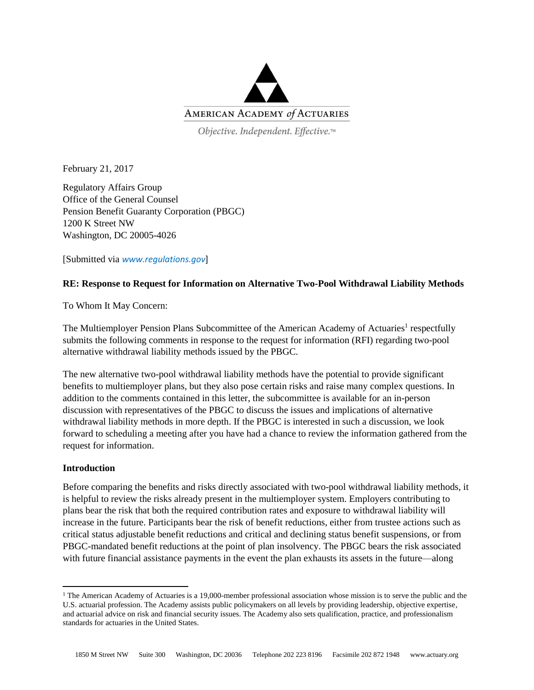

Objective. Independent. Effective.™

February 21, 2017

Regulatory Affairs Group Office of the General Counsel Pension Benefit Guaranty Corporation (PBGC) 1200 K Street NW Washington, DC 20005-4026

[Submitted via *[www.regulations.gov](http://www.regulations.gov/)*]

# **RE: Response to Request for Information on Alternative Two-Pool Withdrawal Liability Methods**

To Whom It May Concern:

The Multiemployer Pension Plans Subcommittee of the American Academy of Actuaries<sup>1</sup> respectfully submits the following comments in response to the request for information (RFI) regarding two-pool alternative withdrawal liability methods issued by the PBGC.

The new alternative two-pool withdrawal liability methods have the potential to provide significant benefits to multiemployer plans, but they also pose certain risks and raise many complex questions. In addition to the comments contained in this letter, the subcommittee is available for an in-person discussion with representatives of the PBGC to discuss the issues and implications of alternative withdrawal liability methods in more depth. If the PBGC is interested in such a discussion, we look forward to scheduling a meeting after you have had a chance to review the information gathered from the request for information.

## **Introduction**

 $\overline{\phantom{a}}$ 

Before comparing the benefits and risks directly associated with two-pool withdrawal liability methods, it is helpful to review the risks already present in the multiemployer system. Employers contributing to plans bear the risk that both the required contribution rates and exposure to withdrawal liability will increase in the future. Participants bear the risk of benefit reductions, either from trustee actions such as critical status adjustable benefit reductions and critical and declining status benefit suspensions, or from PBGC-mandated benefit reductions at the point of plan insolvency. The PBGC bears the risk associated with future financial assistance payments in the event the plan exhausts its assets in the future—along

<sup>&</sup>lt;sup>1</sup> The American Academy of Actuaries is a 19,000-member professional association whose mission is to serve the public and the U.S. actuarial profession. The Academy assists public policymakers on all levels by providing leadership, objective expertise, and actuarial advice on risk and financial security issues. The Academy also sets qualification, practice, and professionalism standards for actuaries in the United States.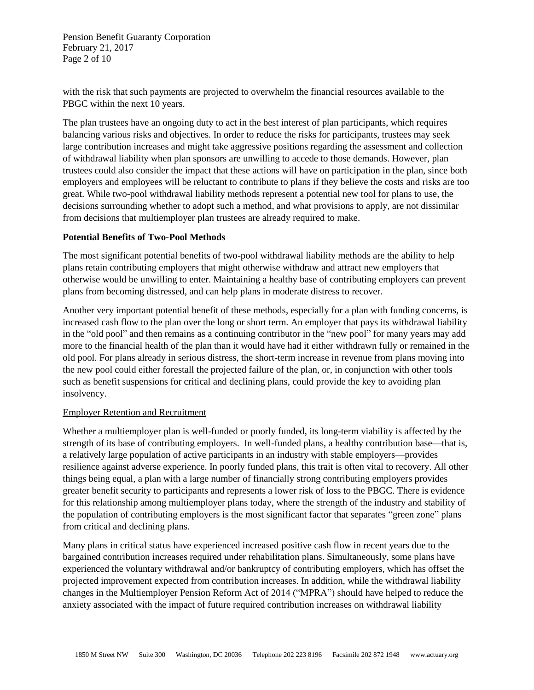Pension Benefit Guaranty Corporation February 21, 2017 Page 2 of 10

with the risk that such payments are projected to overwhelm the financial resources available to the PBGC within the next 10 years.

The plan trustees have an ongoing duty to act in the best interest of plan participants, which requires balancing various risks and objectives. In order to reduce the risks for participants, trustees may seek large contribution increases and might take aggressive positions regarding the assessment and collection of withdrawal liability when plan sponsors are unwilling to accede to those demands. However, plan trustees could also consider the impact that these actions will have on participation in the plan, since both employers and employees will be reluctant to contribute to plans if they believe the costs and risks are too great. While two-pool withdrawal liability methods represent a potential new tool for plans to use, the decisions surrounding whether to adopt such a method, and what provisions to apply, are not dissimilar from decisions that multiemployer plan trustees are already required to make.

## **Potential Benefits of Two-Pool Methods**

The most significant potential benefits of two-pool withdrawal liability methods are the ability to help plans retain contributing employers that might otherwise withdraw and attract new employers that otherwise would be unwilling to enter. Maintaining a healthy base of contributing employers can prevent plans from becoming distressed, and can help plans in moderate distress to recover.

Another very important potential benefit of these methods, especially for a plan with funding concerns, is increased cash flow to the plan over the long or short term. An employer that pays its withdrawal liability in the "old pool" and then remains as a continuing contributor in the "new pool" for many years may add more to the financial health of the plan than it would have had it either withdrawn fully or remained in the old pool. For plans already in serious distress, the short-term increase in revenue from plans moving into the new pool could either forestall the projected failure of the plan, or, in conjunction with other tools such as benefit suspensions for critical and declining plans, could provide the key to avoiding plan insolvency.

#### Employer Retention and Recruitment

Whether a multiemployer plan is well-funded or poorly funded, its long-term viability is affected by the strength of its base of contributing employers. In well-funded plans, a healthy contribution base—that is, a relatively large population of active participants in an industry with stable employers—provides resilience against adverse experience. In poorly funded plans, this trait is often vital to recovery. All other things being equal, a plan with a large number of financially strong contributing employers provides greater benefit security to participants and represents a lower risk of loss to the PBGC. There is evidence for this relationship among multiemployer plans today, where the strength of the industry and stability of the population of contributing employers is the most significant factor that separates "green zone" plans from critical and declining plans.

Many plans in critical status have experienced increased positive cash flow in recent years due to the bargained contribution increases required under rehabilitation plans. Simultaneously, some plans have experienced the voluntary withdrawal and/or bankruptcy of contributing employers, which has offset the projected improvement expected from contribution increases. In addition, while the withdrawal liability changes in the Multiemployer Pension Reform Act of 2014 ("MPRA") should have helped to reduce the anxiety associated with the impact of future required contribution increases on withdrawal liability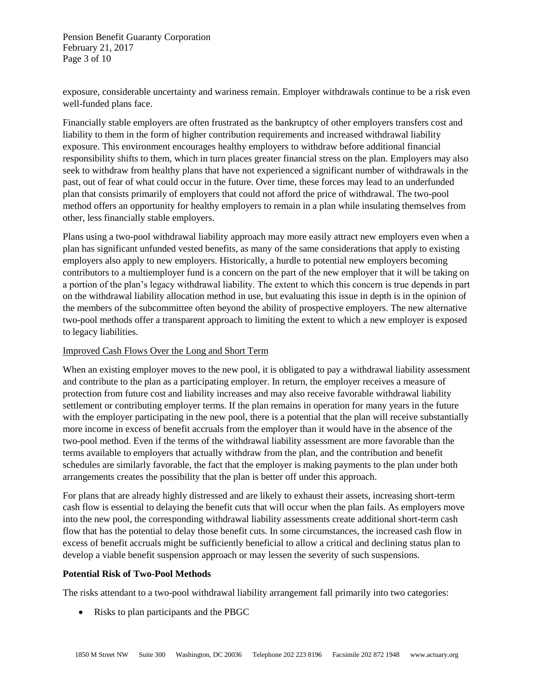Pension Benefit Guaranty Corporation February 21, 2017 Page 3 of 10

exposure, considerable uncertainty and wariness remain. Employer withdrawals continue to be a risk even well-funded plans face.

Financially stable employers are often frustrated as the bankruptcy of other employers transfers cost and liability to them in the form of higher contribution requirements and increased withdrawal liability exposure. This environment encourages healthy employers to withdraw before additional financial responsibility shifts to them, which in turn places greater financial stress on the plan. Employers may also seek to withdraw from healthy plans that have not experienced a significant number of withdrawals in the past, out of fear of what could occur in the future. Over time, these forces may lead to an underfunded plan that consists primarily of employers that could not afford the price of withdrawal. The two-pool method offers an opportunity for healthy employers to remain in a plan while insulating themselves from other, less financially stable employers.

Plans using a two-pool withdrawal liability approach may more easily attract new employers even when a plan has significant unfunded vested benefits, as many of the same considerations that apply to existing employers also apply to new employers. Historically, a hurdle to potential new employers becoming contributors to a multiemployer fund is a concern on the part of the new employer that it will be taking on a portion of the plan's legacy withdrawal liability. The extent to which this concern is true depends in part on the withdrawal liability allocation method in use, but evaluating this issue in depth is in the opinion of the members of the subcommittee often beyond the ability of prospective employers. The new alternative two-pool methods offer a transparent approach to limiting the extent to which a new employer is exposed to legacy liabilities.

## Improved Cash Flows Over the Long and Short Term

When an existing employer moves to the new pool, it is obligated to pay a withdrawal liability assessment and contribute to the plan as a participating employer. In return, the employer receives a measure of protection from future cost and liability increases and may also receive favorable withdrawal liability settlement or contributing employer terms. If the plan remains in operation for many years in the future with the employer participating in the new pool, there is a potential that the plan will receive substantially more income in excess of benefit accruals from the employer than it would have in the absence of the two-pool method. Even if the terms of the withdrawal liability assessment are more favorable than the terms available to employers that actually withdraw from the plan, and the contribution and benefit schedules are similarly favorable, the fact that the employer is making payments to the plan under both arrangements creates the possibility that the plan is better off under this approach.

For plans that are already highly distressed and are likely to exhaust their assets, increasing short-term cash flow is essential to delaying the benefit cuts that will occur when the plan fails. As employers move into the new pool, the corresponding withdrawal liability assessments create additional short-term cash flow that has the potential to delay those benefit cuts. In some circumstances, the increased cash flow in excess of benefit accruals might be sufficiently beneficial to allow a critical and declining status plan to develop a viable benefit suspension approach or may lessen the severity of such suspensions.

#### **Potential Risk of Two-Pool Methods**

The risks attendant to a two-pool withdrawal liability arrangement fall primarily into two categories:

• Risks to plan participants and the PBGC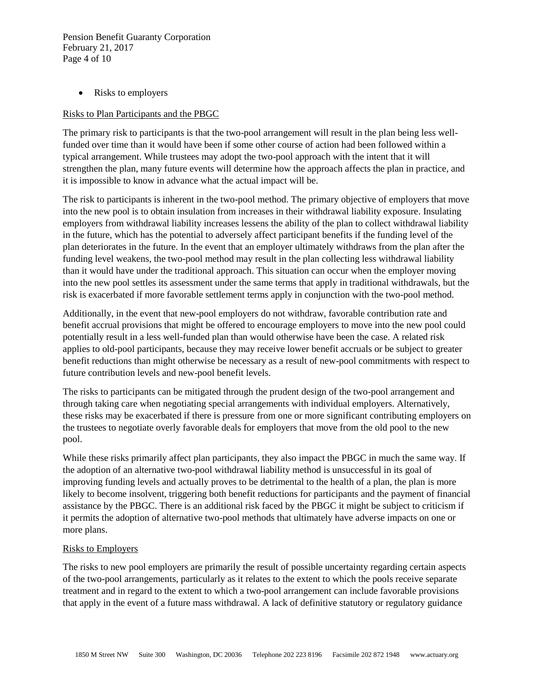Pension Benefit Guaranty Corporation February 21, 2017 Page 4 of 10

• Risks to employers

### Risks to Plan Participants and the PBGC

The primary risk to participants is that the two-pool arrangement will result in the plan being less wellfunded over time than it would have been if some other course of action had been followed within a typical arrangement. While trustees may adopt the two-pool approach with the intent that it will strengthen the plan, many future events will determine how the approach affects the plan in practice, and it is impossible to know in advance what the actual impact will be.

The risk to participants is inherent in the two-pool method. The primary objective of employers that move into the new pool is to obtain insulation from increases in their withdrawal liability exposure. Insulating employers from withdrawal liability increases lessens the ability of the plan to collect withdrawal liability in the future, which has the potential to adversely affect participant benefits if the funding level of the plan deteriorates in the future. In the event that an employer ultimately withdraws from the plan after the funding level weakens, the two-pool method may result in the plan collecting less withdrawal liability than it would have under the traditional approach. This situation can occur when the employer moving into the new pool settles its assessment under the same terms that apply in traditional withdrawals, but the risk is exacerbated if more favorable settlement terms apply in conjunction with the two-pool method.

Additionally, in the event that new-pool employers do not withdraw, favorable contribution rate and benefit accrual provisions that might be offered to encourage employers to move into the new pool could potentially result in a less well-funded plan than would otherwise have been the case. A related risk applies to old-pool participants, because they may receive lower benefit accruals or be subject to greater benefit reductions than might otherwise be necessary as a result of new-pool commitments with respect to future contribution levels and new-pool benefit levels.

The risks to participants can be mitigated through the prudent design of the two-pool arrangement and through taking care when negotiating special arrangements with individual employers. Alternatively, these risks may be exacerbated if there is pressure from one or more significant contributing employers on the trustees to negotiate overly favorable deals for employers that move from the old pool to the new pool.

While these risks primarily affect plan participants, they also impact the PBGC in much the same way. If the adoption of an alternative two-pool withdrawal liability method is unsuccessful in its goal of improving funding levels and actually proves to be detrimental to the health of a plan, the plan is more likely to become insolvent, triggering both benefit reductions for participants and the payment of financial assistance by the PBGC. There is an additional risk faced by the PBGC it might be subject to criticism if it permits the adoption of alternative two-pool methods that ultimately have adverse impacts on one or more plans.

#### Risks to Employers

The risks to new pool employers are primarily the result of possible uncertainty regarding certain aspects of the two-pool arrangements, particularly as it relates to the extent to which the pools receive separate treatment and in regard to the extent to which a two-pool arrangement can include favorable provisions that apply in the event of a future mass withdrawal. A lack of definitive statutory or regulatory guidance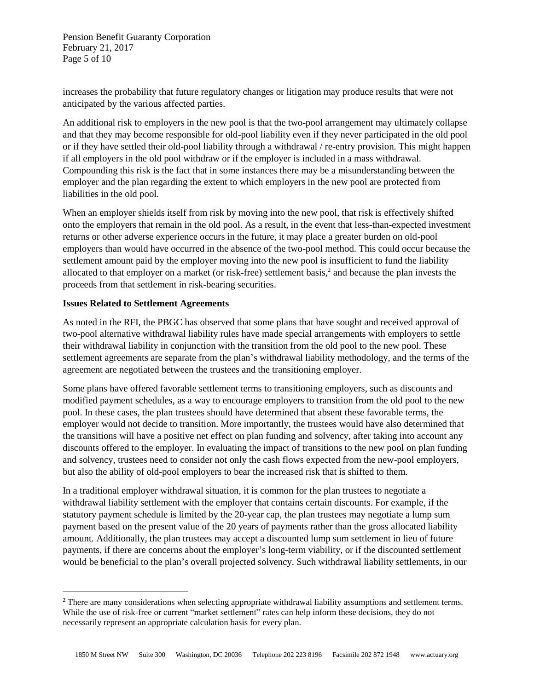Pension Benefit Guaranty Corporation February 21, 2017 Page 5 of 10

increases the probability that future regulatory changes or litigation may produce results that were not anticipated by the various affected parties.

An additional risk to employers in the new pool is that the two-pool arrangement may ultimately collapse and that they may become responsible for old-pool liability even if they never participated in the old pool or if they have settled their old-pool liability through a withdrawal / re-entry provision. This might happen if all employers in the old pool withdraw or if the employer is included in a mass withdrawal. Compounding this risk is the fact that in some instances there may be a misunderstanding between the employer and the plan regarding the extent to which employers in the new pool are protected from liabilities in the old pool.

When an employer shields itself from risk by moving into the new pool, that risk is effectively shifted onto the employers that remain in the old pool. As a result, in the event that less-than-expected investment returns or other adverse experience occurs in the future, it may place a greater burden on old-pool employers than would have occurred in the absence of the two-pool method. This could occur because the settlement amount paid by the employer moving into the new pool is insufficient to fund the liability allocated to that employer on a market (or risk-free) settlement basis,<sup>2</sup> and because the plan invests the proceeds from that settlement in risk-bearing securities.

### **Issues Related to Settlement Agreements**

 $\overline{\phantom{a}}$ 

As noted in the RFI, the PBGC has observed that some plans that have sought and received approval of two-pool alternative withdrawal liability rules have made special arrangements with employers to settle their withdrawal liability in conjunction with the transition from the old pool to the new pool. These settlement agreements are separate from the plan's withdrawal liability methodology, and the terms of the agreement are negotiated between the trustees and the transitioning employer.

Some plans have offered favorable settlement terms to transitioning employers, such as discounts and modified payment schedules, as a way to encourage employers to transition from the old pool to the new pool. In these cases, the plan trustees should have determined that absent these favorable terms, the employer would not decide to transition. More importantly, the trustees would have also determined that the transitions will have a positive net effect on plan funding and solvency, after taking into account any discounts offered to the employer. In evaluating the impact of transitions to the new pool on plan funding and solvency, trustees need to consider not only the cash flows expected from the new-pool employers, but also the ability of old-pool employers to bear the increased risk that is shifted to them.

In a traditional employer withdrawal situation, it is common for the plan trustees to negotiate a withdrawal liability settlement with the employer that contains certain discounts. For example, if the statutory payment schedule is limited by the 20-year cap, the plan trustees may negotiate a lump sum payment based on the present value of the 20 years of payments rather than the gross allocated liability amount. Additionally, the plan trustees may accept a discounted lump sum settlement in lieu of future payments, if there are concerns about the employer's long-term viability, or if the discounted settlement would be beneficial to the plan's overall projected solvency. Such withdrawal liability settlements, in our

<sup>&</sup>lt;sup>2</sup> There are many considerations when selecting appropriate withdrawal liability assumptions and settlement terms. While the use of risk-free or current "market settlement" rates can help inform these decisions, they do not necessarily represent an appropriate calculation basis for every plan.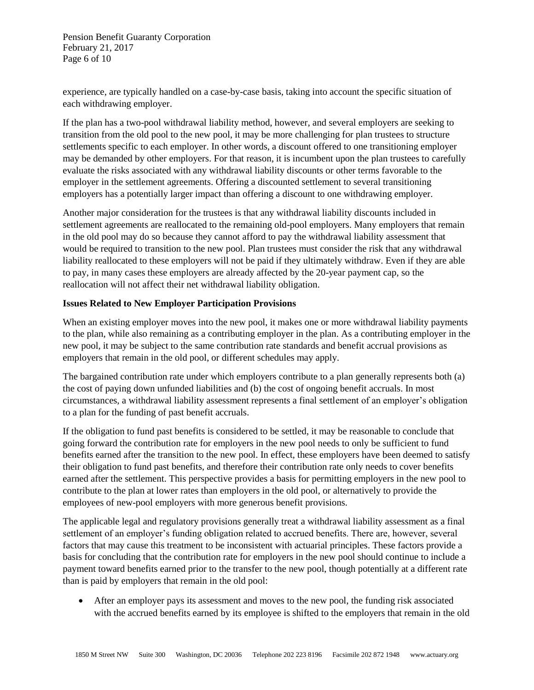Pension Benefit Guaranty Corporation February 21, 2017 Page 6 of 10

experience, are typically handled on a case-by-case basis, taking into account the specific situation of each withdrawing employer.

If the plan has a two-pool withdrawal liability method, however, and several employers are seeking to transition from the old pool to the new pool, it may be more challenging for plan trustees to structure settlements specific to each employer. In other words, a discount offered to one transitioning employer may be demanded by other employers. For that reason, it is incumbent upon the plan trustees to carefully evaluate the risks associated with any withdrawal liability discounts or other terms favorable to the employer in the settlement agreements. Offering a discounted settlement to several transitioning employers has a potentially larger impact than offering a discount to one withdrawing employer.

Another major consideration for the trustees is that any withdrawal liability discounts included in settlement agreements are reallocated to the remaining old-pool employers. Many employers that remain in the old pool may do so because they cannot afford to pay the withdrawal liability assessment that would be required to transition to the new pool. Plan trustees must consider the risk that any withdrawal liability reallocated to these employers will not be paid if they ultimately withdraw. Even if they are able to pay, in many cases these employers are already affected by the 20-year payment cap, so the reallocation will not affect their net withdrawal liability obligation.

## **Issues Related to New Employer Participation Provisions**

When an existing employer moves into the new pool, it makes one or more withdrawal liability payments to the plan, while also remaining as a contributing employer in the plan. As a contributing employer in the new pool, it may be subject to the same contribution rate standards and benefit accrual provisions as employers that remain in the old pool, or different schedules may apply.

The bargained contribution rate under which employers contribute to a plan generally represents both (a) the cost of paying down unfunded liabilities and (b) the cost of ongoing benefit accruals. In most circumstances, a withdrawal liability assessment represents a final settlement of an employer's obligation to a plan for the funding of past benefit accruals.

If the obligation to fund past benefits is considered to be settled, it may be reasonable to conclude that going forward the contribution rate for employers in the new pool needs to only be sufficient to fund benefits earned after the transition to the new pool. In effect, these employers have been deemed to satisfy their obligation to fund past benefits, and therefore their contribution rate only needs to cover benefits earned after the settlement. This perspective provides a basis for permitting employers in the new pool to contribute to the plan at lower rates than employers in the old pool, or alternatively to provide the employees of new-pool employers with more generous benefit provisions.

The applicable legal and regulatory provisions generally treat a withdrawal liability assessment as a final settlement of an employer's funding obligation related to accrued benefits. There are, however, several factors that may cause this treatment to be inconsistent with actuarial principles. These factors provide a basis for concluding that the contribution rate for employers in the new pool should continue to include a payment toward benefits earned prior to the transfer to the new pool, though potentially at a different rate than is paid by employers that remain in the old pool:

 After an employer pays its assessment and moves to the new pool, the funding risk associated with the accrued benefits earned by its employee is shifted to the employers that remain in the old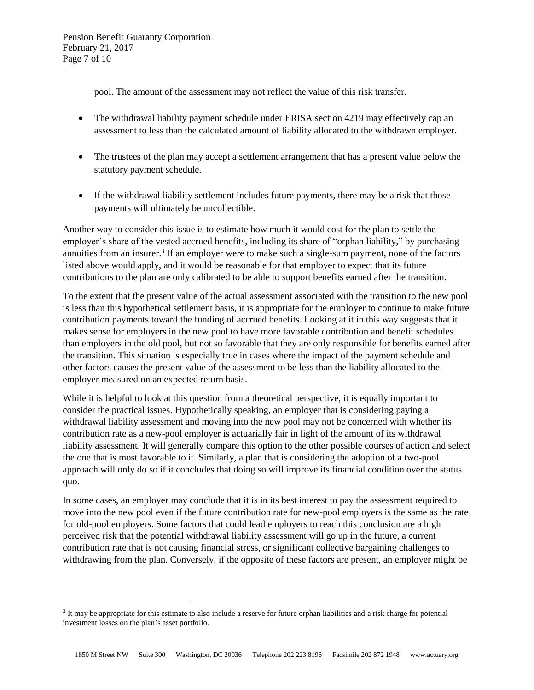Pension Benefit Guaranty Corporation February 21, 2017 Page 7 of 10

 $\overline{a}$ 

pool. The amount of the assessment may not reflect the value of this risk transfer.

- The withdrawal liability payment schedule under ERISA section 4219 may effectively cap an assessment to less than the calculated amount of liability allocated to the withdrawn employer.
- The trustees of the plan may accept a settlement arrangement that has a present value below the statutory payment schedule.
- If the withdrawal liability settlement includes future payments, there may be a risk that those payments will ultimately be uncollectible.

Another way to consider this issue is to estimate how much it would cost for the plan to settle the employer's share of the vested accrued benefits, including its share of "orphan liability," by purchasing annuities from an insurer. 3 If an employer were to make such a single-sum payment, none of the factors listed above would apply, and it would be reasonable for that employer to expect that its future contributions to the plan are only calibrated to be able to support benefits earned after the transition.

To the extent that the present value of the actual assessment associated with the transition to the new pool is less than this hypothetical settlement basis, it is appropriate for the employer to continue to make future contribution payments toward the funding of accrued benefits. Looking at it in this way suggests that it makes sense for employers in the new pool to have more favorable contribution and benefit schedules than employers in the old pool, but not so favorable that they are only responsible for benefits earned after the transition. This situation is especially true in cases where the impact of the payment schedule and other factors causes the present value of the assessment to be less than the liability allocated to the employer measured on an expected return basis.

While it is helpful to look at this question from a theoretical perspective, it is equally important to consider the practical issues. Hypothetically speaking, an employer that is considering paying a withdrawal liability assessment and moving into the new pool may not be concerned with whether its contribution rate as a new-pool employer is actuarially fair in light of the amount of its withdrawal liability assessment. It will generally compare this option to the other possible courses of action and select the one that is most favorable to it. Similarly, a plan that is considering the adoption of a two-pool approach will only do so if it concludes that doing so will improve its financial condition over the status quo.

In some cases, an employer may conclude that it is in its best interest to pay the assessment required to move into the new pool even if the future contribution rate for new-pool employers is the same as the rate for old-pool employers. Some factors that could lead employers to reach this conclusion are a high perceived risk that the potential withdrawal liability assessment will go up in the future, a current contribution rate that is not causing financial stress, or significant collective bargaining challenges to withdrawing from the plan. Conversely, if the opposite of these factors are present, an employer might be

<sup>&</sup>lt;sup>3</sup> It may be appropriate for this estimate to also include a reserve for future orphan liabilities and a risk charge for potential investment losses on the plan's asset portfolio.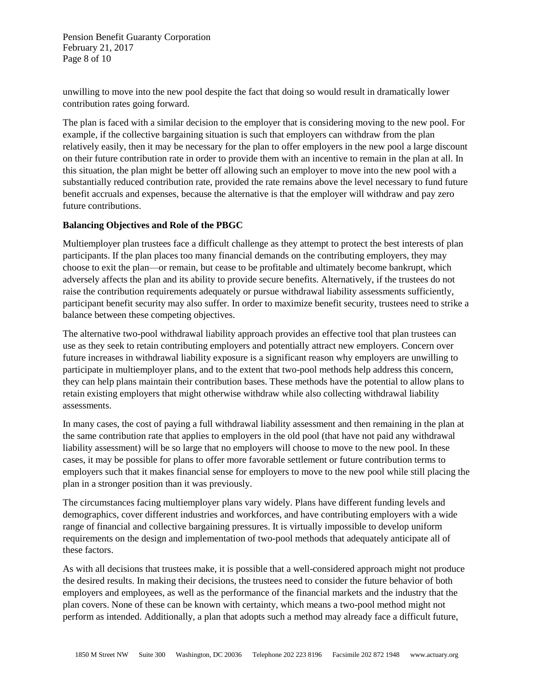Pension Benefit Guaranty Corporation February 21, 2017 Page 8 of 10

unwilling to move into the new pool despite the fact that doing so would result in dramatically lower contribution rates going forward.

The plan is faced with a similar decision to the employer that is considering moving to the new pool. For example, if the collective bargaining situation is such that employers can withdraw from the plan relatively easily, then it may be necessary for the plan to offer employers in the new pool a large discount on their future contribution rate in order to provide them with an incentive to remain in the plan at all. In this situation, the plan might be better off allowing such an employer to move into the new pool with a substantially reduced contribution rate, provided the rate remains above the level necessary to fund future benefit accruals and expenses, because the alternative is that the employer will withdraw and pay zero future contributions.

## **Balancing Objectives and Role of the PBGC**

Multiemployer plan trustees face a difficult challenge as they attempt to protect the best interests of plan participants. If the plan places too many financial demands on the contributing employers, they may choose to exit the plan—or remain, but cease to be profitable and ultimately become bankrupt, which adversely affects the plan and its ability to provide secure benefits. Alternatively, if the trustees do not raise the contribution requirements adequately or pursue withdrawal liability assessments sufficiently, participant benefit security may also suffer. In order to maximize benefit security, trustees need to strike a balance between these competing objectives.

The alternative two-pool withdrawal liability approach provides an effective tool that plan trustees can use as they seek to retain contributing employers and potentially attract new employers. Concern over future increases in withdrawal liability exposure is a significant reason why employers are unwilling to participate in multiemployer plans, and to the extent that two-pool methods help address this concern, they can help plans maintain their contribution bases. These methods have the potential to allow plans to retain existing employers that might otherwise withdraw while also collecting withdrawal liability assessments.

In many cases, the cost of paying a full withdrawal liability assessment and then remaining in the plan at the same contribution rate that applies to employers in the old pool (that have not paid any withdrawal liability assessment) will be so large that no employers will choose to move to the new pool. In these cases, it may be possible for plans to offer more favorable settlement or future contribution terms to employers such that it makes financial sense for employers to move to the new pool while still placing the plan in a stronger position than it was previously.

The circumstances facing multiemployer plans vary widely. Plans have different funding levels and demographics, cover different industries and workforces, and have contributing employers with a wide range of financial and collective bargaining pressures. It is virtually impossible to develop uniform requirements on the design and implementation of two-pool methods that adequately anticipate all of these factors.

As with all decisions that trustees make, it is possible that a well-considered approach might not produce the desired results. In making their decisions, the trustees need to consider the future behavior of both employers and employees, as well as the performance of the financial markets and the industry that the plan covers. None of these can be known with certainty, which means a two-pool method might not perform as intended. Additionally, a plan that adopts such a method may already face a difficult future,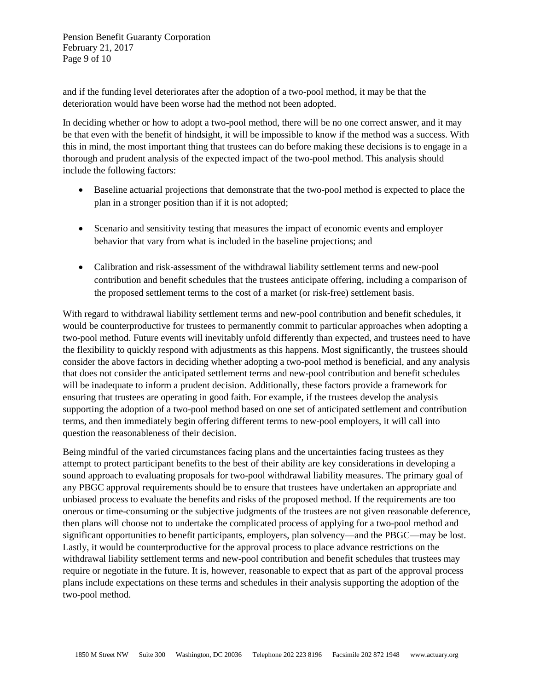Pension Benefit Guaranty Corporation February 21, 2017 Page 9 of 10

and if the funding level deteriorates after the adoption of a two-pool method, it may be that the deterioration would have been worse had the method not been adopted.

In deciding whether or how to adopt a two-pool method, there will be no one correct answer, and it may be that even with the benefit of hindsight, it will be impossible to know if the method was a success. With this in mind, the most important thing that trustees can do before making these decisions is to engage in a thorough and prudent analysis of the expected impact of the two-pool method. This analysis should include the following factors:

- Baseline actuarial projections that demonstrate that the two-pool method is expected to place the plan in a stronger position than if it is not adopted;
- Scenario and sensitivity testing that measures the impact of economic events and employer behavior that vary from what is included in the baseline projections; and
- Calibration and risk-assessment of the withdrawal liability settlement terms and new-pool contribution and benefit schedules that the trustees anticipate offering, including a comparison of the proposed settlement terms to the cost of a market (or risk-free) settlement basis.

With regard to withdrawal liability settlement terms and new-pool contribution and benefit schedules, it would be counterproductive for trustees to permanently commit to particular approaches when adopting a two-pool method. Future events will inevitably unfold differently than expected, and trustees need to have the flexibility to quickly respond with adjustments as this happens. Most significantly, the trustees should consider the above factors in deciding whether adopting a two-pool method is beneficial, and any analysis that does not consider the anticipated settlement terms and new-pool contribution and benefit schedules will be inadequate to inform a prudent decision. Additionally, these factors provide a framework for ensuring that trustees are operating in good faith. For example, if the trustees develop the analysis supporting the adoption of a two-pool method based on one set of anticipated settlement and contribution terms, and then immediately begin offering different terms to new-pool employers, it will call into question the reasonableness of their decision.

Being mindful of the varied circumstances facing plans and the uncertainties facing trustees as they attempt to protect participant benefits to the best of their ability are key considerations in developing a sound approach to evaluating proposals for two-pool withdrawal liability measures. The primary goal of any PBGC approval requirements should be to ensure that trustees have undertaken an appropriate and unbiased process to evaluate the benefits and risks of the proposed method. If the requirements are too onerous or time-consuming or the subjective judgments of the trustees are not given reasonable deference, then plans will choose not to undertake the complicated process of applying for a two-pool method and significant opportunities to benefit participants, employers, plan solvency—and the PBGC—may be lost. Lastly, it would be counterproductive for the approval process to place advance restrictions on the withdrawal liability settlement terms and new-pool contribution and benefit schedules that trustees may require or negotiate in the future. It is, however, reasonable to expect that as part of the approval process plans include expectations on these terms and schedules in their analysis supporting the adoption of the two-pool method.